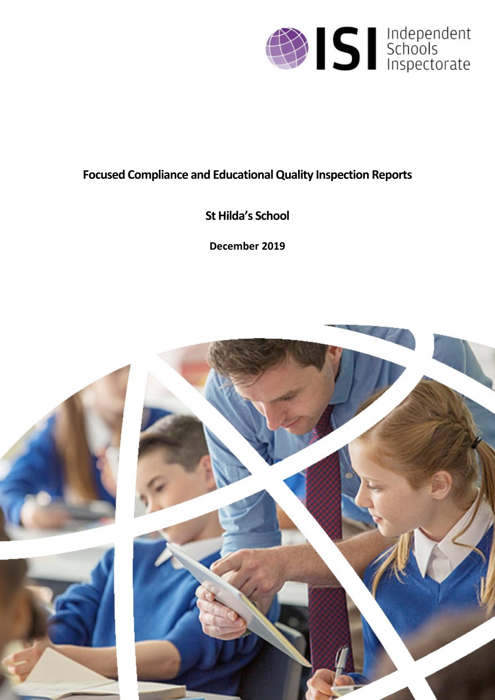

# **Focused Compliance and EducationalQuality Inspection Reports**

**St Hilda's School**

**December 2019**

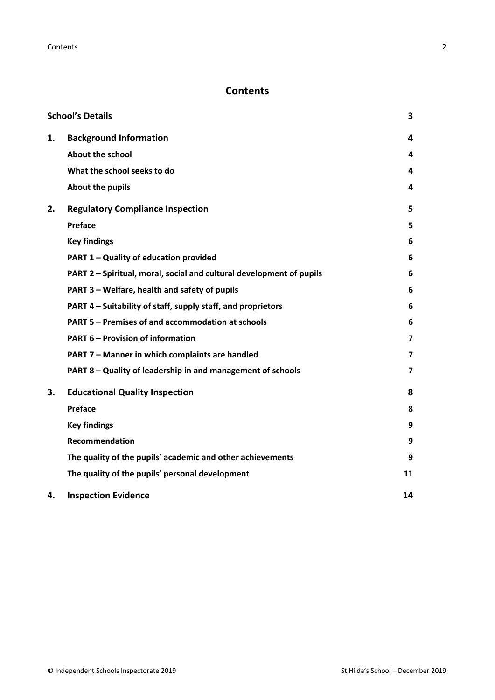# **Contents**

|    | <b>School's Details</b>                                              | 3                       |
|----|----------------------------------------------------------------------|-------------------------|
| 1. | <b>Background Information</b>                                        | 4                       |
|    | <b>About the school</b>                                              | 4                       |
|    | What the school seeks to do                                          | 4                       |
|    | <b>About the pupils</b>                                              | 4                       |
| 2. | <b>Regulatory Compliance Inspection</b>                              | 5                       |
|    | Preface                                                              | 5                       |
|    | <b>Key findings</b>                                                  | 6                       |
|    | PART 1 - Quality of education provided                               | 6                       |
|    | PART 2 - Spiritual, moral, social and cultural development of pupils | 6                       |
|    | PART 3 - Welfare, health and safety of pupils                        | 6                       |
|    | PART 4 – Suitability of staff, supply staff, and proprietors         | 6                       |
|    | <b>PART 5 - Premises of and accommodation at schools</b>             | 6                       |
|    | <b>PART 6 - Provision of information</b>                             | $\overline{\mathbf{z}}$ |
|    | PART 7 - Manner in which complaints are handled                      | 7                       |
|    | PART 8 - Quality of leadership in and management of schools          | 7                       |
| 3. | <b>Educational Quality Inspection</b>                                | 8                       |
|    | <b>Preface</b>                                                       | 8                       |
|    | <b>Key findings</b>                                                  | 9                       |
|    | Recommendation                                                       | 9                       |
|    | The quality of the pupils' academic and other achievements           | 9                       |
|    | The quality of the pupils' personal development                      | 11                      |
| 4. | <b>Inspection Evidence</b>                                           | 14                      |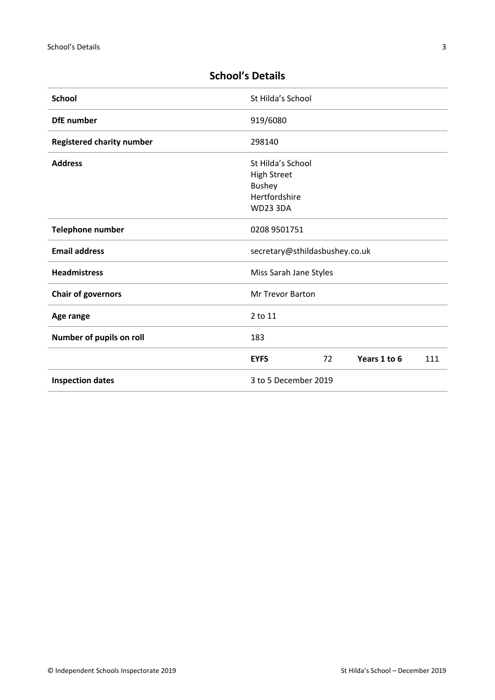| <b>School</b>                    | St Hilda's School                                                                            |    |              |     |
|----------------------------------|----------------------------------------------------------------------------------------------|----|--------------|-----|
| <b>DfE</b> number                | 919/6080                                                                                     |    |              |     |
| <b>Registered charity number</b> | 298140                                                                                       |    |              |     |
| <b>Address</b>                   | St Hilda's School<br><b>High Street</b><br><b>Bushey</b><br>Hertfordshire<br><b>WD23 3DA</b> |    |              |     |
| Telephone number                 | 0208 9501751                                                                                 |    |              |     |
| <b>Email address</b>             | secretary@sthildasbushey.co.uk                                                               |    |              |     |
| <b>Headmistress</b>              | Miss Sarah Jane Styles                                                                       |    |              |     |
| <b>Chair of governors</b>        | <b>Mr Trevor Barton</b>                                                                      |    |              |     |
| Age range                        | 2 to 11                                                                                      |    |              |     |
| Number of pupils on roll         | 183                                                                                          |    |              |     |
|                                  | <b>EYFS</b>                                                                                  | 72 | Years 1 to 6 | 111 |
| <b>Inspection dates</b>          | 3 to 5 December 2019                                                                         |    |              |     |

# <span id="page-2-0"></span>**School's Details**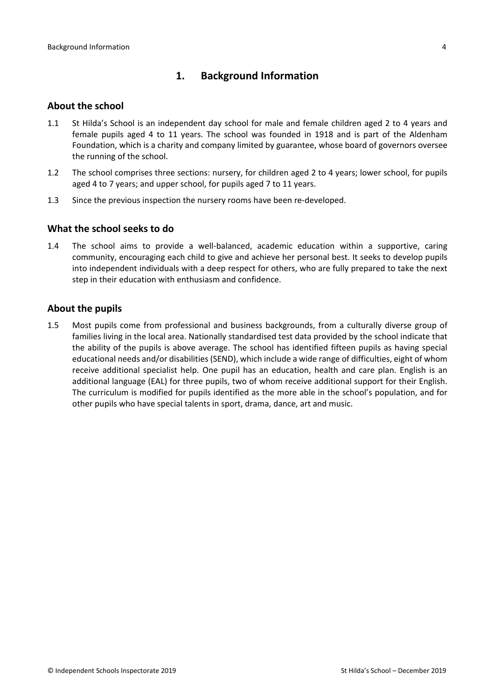# <span id="page-3-0"></span>**1. Background Information**

#### <span id="page-3-1"></span>**About the school**

- 1.1 St Hilda's School is an independent day school for male and female children aged 2 to 4 years and female pupils aged 4 to 11 years. The school was founded in 1918 and is part of the Aldenham Foundation, which is a charity and company limited by guarantee, whose board of governors oversee the running of the school.
- 1.2 The school comprises three sections: nursery, for children aged 2 to 4 years; lower school, for pupils aged 4 to 7 years; and upper school, for pupils aged 7 to 11 years.
- 1.3 Since the previous inspection the nursery rooms have been re-developed.

#### <span id="page-3-2"></span>**What the school seeks to do**

1.4 The school aims to provide a well-balanced, academic education within a supportive, caring community, encouraging each child to give and achieve her personal best. It seeks to develop pupils into independent individuals with a deep respect for others, who are fully prepared to take the next step in their education with enthusiasm and confidence.

#### <span id="page-3-3"></span>**About the pupils**

1.5 Most pupils come from professional and business backgrounds, from a culturally diverse group of families living in the local area. Nationally standardised test data provided by the school indicate that the ability of the pupils is above average. The school has identified fifteen pupils as having special educational needs and/or disabilities (SEND), which include a wide range of difficulties, eight of whom receive additional specialist help. One pupil has an education, health and care plan. English is an additional language (EAL) for three pupils, two of whom receive additional support for their English. The curriculum is modified for pupils identified as the more able in the school's population, and for other pupils who have special talents in sport, drama, dance, art and music.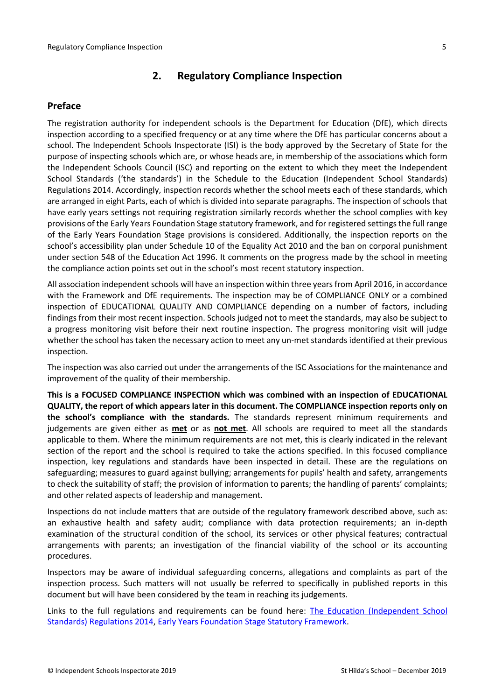# <span id="page-4-0"></span>**2. Regulatory Compliance Inspection**

#### <span id="page-4-1"></span>**Preface**

The registration authority for independent schools is the Department for Education (DfE), which directs inspection according to a specified frequency or at any time where the DfE has particular concerns about a school. The Independent Schools Inspectorate (ISI) is the body approved by the Secretary of State for the purpose of inspecting schools which are, or whose heads are, in membership of the associations which form the Independent Schools Council (ISC) and reporting on the extent to which they meet the Independent School Standards ('the standards') in the Schedule to the Education (Independent School Standards) Regulations 2014. Accordingly, inspection records whether the school meets each of these standards, which are arranged in eight Parts, each of which is divided into separate paragraphs. The inspection of schools that have early years settings not requiring registration similarly records whether the school complies with key provisions of the Early Years Foundation Stage statutory framework, and for registered settings the full range of the Early Years Foundation Stage provisions is considered. Additionally, the inspection reports on the school's accessibility plan under Schedule 10 of the Equality Act 2010 and the ban on corporal punishment under section 548 of the Education Act 1996. It comments on the progress made by the school in meeting the compliance action points set out in the school's most recent statutory inspection.

All association independent schools will have an inspection within three yearsfrom April 2016, in accordance with the Framework and DfE requirements. The inspection may be of COMPLIANCE ONLY or a combined inspection of EDUCATIONAL QUALITY AND COMPLIANCE depending on a number of factors, including findings from their most recent inspection. Schools judged not to meet the standards, may also be subject to a progress monitoring visit before their next routine inspection. The progress monitoring visit will judge whether the school has taken the necessary action to meet any un-met standards identified at their previous inspection.

The inspection was also carried out under the arrangements of the ISC Associations for the maintenance and improvement of the quality of their membership.

**This is a FOCUSED COMPLIANCE INSPECTION which was combined with an inspection of EDUCATIONAL QUALITY, the report of which appears later in this document. The COMPLIANCE inspection reports only on the school's compliance with the standards.** The standards represent minimum requirements and judgements are given either as **met** or as **not met**. All schools are required to meet all the standards applicable to them. Where the minimum requirements are not met, this is clearly indicated in the relevant section of the report and the school is required to take the actions specified. In this focused compliance inspection, key regulations and standards have been inspected in detail. These are the regulations on safeguarding; measures to guard against bullying; arrangements for pupils' health and safety, arrangements to check the suitability of staff; the provision of information to parents; the handling of parents' complaints; and other related aspects of leadership and management.

Inspections do not include matters that are outside of the regulatory framework described above, such as: an exhaustive health and safety audit; compliance with data protection requirements; an in-depth examination of the structural condition of the school, its services or other physical features; contractual arrangements with parents; an investigation of the financial viability of the school or its accounting procedures.

Inspectors may be aware of individual safeguarding concerns, allegations and complaints as part of the inspection process. Such matters will not usually be referred to specifically in published reports in this document but will have been considered by the team in reaching its judgements.

Links to the full regulations and requirements can be found here: The Education [\(Independent](http://www.legislation.gov.uk/uksi/2014/3283/contents/made) School Standards) [Regulations](http://www.legislation.gov.uk/uksi/2014/3283/contents/made) 2014, Early Years Foundation Stage Statutory [Framework.](https://www.gov.uk/government/publications/early-years-foundation-stage-framework--2)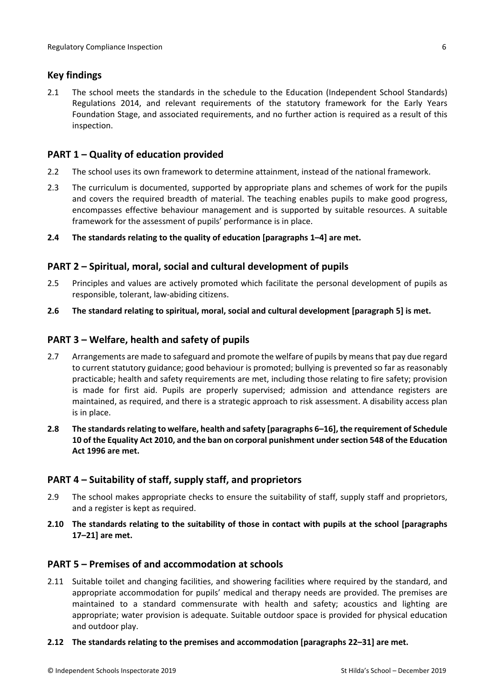#### <span id="page-5-0"></span>**Key findings**

2.1 The school meets the standards in the schedule to the Education (Independent School Standards) Regulations 2014, and relevant requirements of the statutory framework for the Early Years Foundation Stage, and associated requirements, and no further action is required as a result of this inspection.

## <span id="page-5-1"></span>**PART 1 – Quality of education provided**

- 2.2 The school uses its own framework to determine attainment, instead of the national framework.
- 2.3 The curriculum is documented, supported by appropriate plans and schemes of work for the pupils and covers the required breadth of material. The teaching enables pupils to make good progress, encompasses effective behaviour management and is supported by suitable resources. A suitable framework for the assessment of pupils' performance is in place.
- **2.4 The standards relating to the quality of education [paragraphs 1–4] are met.**

#### <span id="page-5-2"></span>**PART 2 – Spiritual, moral, social and cultural development of pupils**

- 2.5 Principles and values are actively promoted which facilitate the personal development of pupils as responsible, tolerant, law-abiding citizens.
- **2.6 The standard relating to spiritual, moral, social and cultural development [paragraph 5] is met.**

#### <span id="page-5-3"></span>**PART 3 – Welfare, health and safety of pupils**

- 2.7 Arrangements are made to safeguard and promote the welfare of pupils by means that pay due regard to current statutory guidance; good behaviour is promoted; bullying is prevented so far as reasonably practicable; health and safety requirements are met, including those relating to fire safety; provision is made for first aid. Pupils are properly supervised; admission and attendance registers are maintained, as required, and there is a strategic approach to risk assessment. A disability access plan is in place.
- **2.8 The standardsrelating to welfare, health and safety [paragraphs 6–16], the requirement of Schedule 10 of the Equality Act 2010, and the ban on corporal punishment undersection 548 of the Education Act 1996 are met.**

#### <span id="page-5-4"></span>**PART 4 – Suitability of staff, supply staff, and proprietors**

- 2.9 The school makes appropriate checks to ensure the suitability of staff, supply staff and proprietors, and a register is kept as required.
- **2.10 The standards relating to the suitability of those in contact with pupils at the school [paragraphs 17–21] are met.**

#### <span id="page-5-5"></span>**PART 5 – Premises of and accommodation at schools**

- 2.11 Suitable toilet and changing facilities, and showering facilities where required by the standard, and appropriate accommodation for pupils' medical and therapy needs are provided. The premises are maintained to a standard commensurate with health and safety; acoustics and lighting are appropriate; water provision is adequate. Suitable outdoor space is provided for physical education and outdoor play.
- **2.12 The standards relating to the premises and accommodation [paragraphs 22–31] are met.**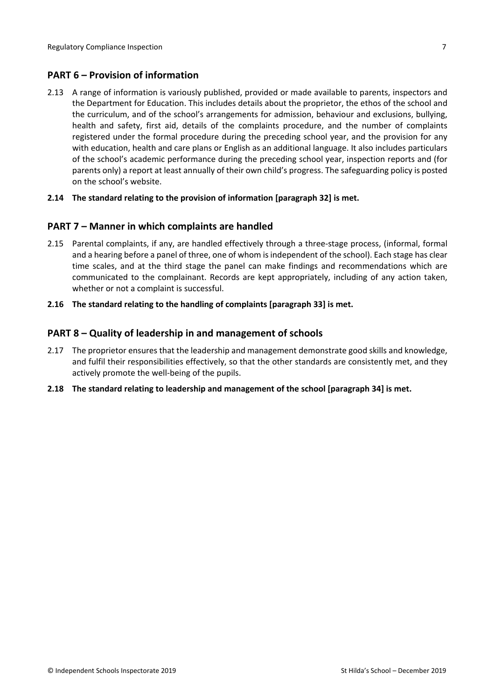## <span id="page-6-0"></span>**PART 6 – Provision of information**

2.13 A range of information is variously published, provided or made available to parents, inspectors and the Department for Education. This includes details about the proprietor, the ethos of the school and the curriculum, and of the school's arrangements for admission, behaviour and exclusions, bullying, health and safety, first aid, details of the complaints procedure, and the number of complaints registered under the formal procedure during the preceding school year, and the provision for any with education, health and care plans or English as an additional language. It also includes particulars of the school's academic performance during the preceding school year, inspection reports and (for parents only) a report at least annually of their own child's progress. The safeguarding policy is posted on the school's website.

#### **2.14 The standard relating to the provision of information [paragraph 32] is met.**

#### <span id="page-6-1"></span>**PART 7 – Manner in which complaints are handled**

- 2.15 Parental complaints, if any, are handled effectively through a three-stage process, (informal, formal and a hearing before a panel of three, one of whom isindependent of the school). Each stage has clear time scales, and at the third stage the panel can make findings and recommendations which are communicated to the complainant. Records are kept appropriately, including of any action taken, whether or not a complaint is successful.
- **2.16 The standard relating to the handling of complaints [paragraph 33] is met.**

#### <span id="page-6-2"></span>**PART 8 – Quality of leadership in and management of schools**

- 2.17 The proprietor ensures that the leadership and management demonstrate good skills and knowledge, and fulfil their responsibilities effectively, so that the other standards are consistently met, and they actively promote the well-being of the pupils.
- **2.18 The standard relating to leadership and management of the school [paragraph 34] is met.**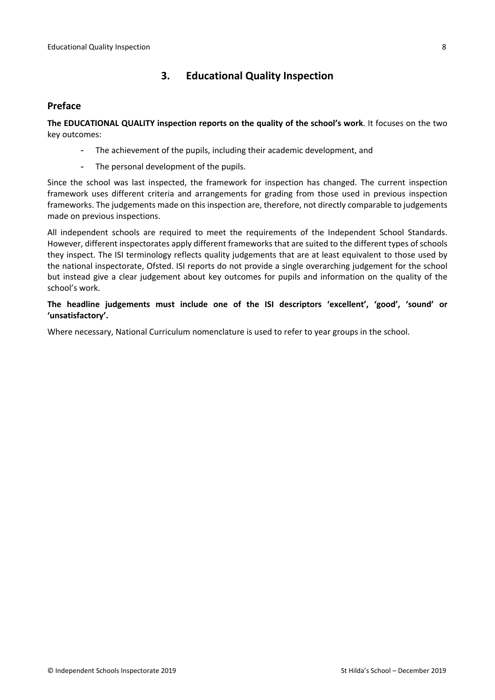# <span id="page-7-0"></span>**3. Educational Quality Inspection**

#### <span id="page-7-1"></span>**Preface**

**The EDUCATIONAL QUALITY inspection reports on the quality of the school's work**. It focuses on the two key outcomes:

- The achievement of the pupils, including their academic development, and
- The personal development of the pupils.

Since the school was last inspected, the framework for inspection has changed. The current inspection framework uses different criteria and arrangements for grading from those used in previous inspection frameworks. The judgements made on this inspection are, therefore, not directly comparable to judgements made on previous inspections.

All independent schools are required to meet the requirements of the Independent School Standards. However, different inspectorates apply different frameworks that are suited to the different types of schools they inspect. The ISI terminology reflects quality judgements that are at least equivalent to those used by the national inspectorate, Ofsted. ISI reports do not provide a single overarching judgement for the school but instead give a clear judgement about key outcomes for pupils and information on the quality of the school's work.

**The headline judgements must include one of the ISI descriptors 'excellent', 'good', 'sound' or 'unsatisfactory'.**

Where necessary, National Curriculum nomenclature is used to refer to year groups in the school.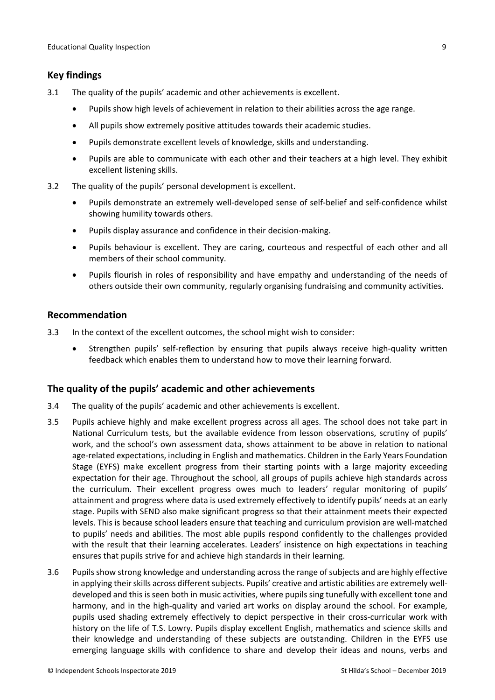#### <span id="page-8-0"></span>**Key findings**

- 3.1 The quality of the pupils' academic and other achievements is excellent.
	- Pupils show high levels of achievement in relation to their abilities across the age range.
	- All pupils show extremely positive attitudes towards their academic studies.
	- Pupils demonstrate excellent levels of knowledge, skills and understanding.
	- Pupils are able to communicate with each other and their teachers at a high level. They exhibit excellent listening skills.
- 3.2 The quality of the pupils' personal development is excellent.
	- Pupils demonstrate an extremely well-developed sense of self-belief and self-confidence whilst showing humility towards others.
	- Pupils display assurance and confidence in their decision-making.
	- Pupils behaviour is excellent. They are caring, courteous and respectful of each other and all members of their school community.
	- Pupils flourish in roles of responsibility and have empathy and understanding of the needs of others outside their own community, regularly organising fundraising and community activities.

#### <span id="page-8-1"></span>**Recommendation**

- 3.3 In the context of the excellent outcomes, the school might wish to consider:
	- Strengthen pupils' self-reflection by ensuring that pupils always receive high-quality written feedback which enables them to understand how to move their learning forward.

#### <span id="page-8-2"></span>**The quality of the pupils' academic and other achievements**

- 3.4 The quality of the pupils' academic and other achievements is excellent.
- 3.5 Pupils achieve highly and make excellent progress across all ages. The school does not take part in National Curriculum tests, but the available evidence from lesson observations, scrutiny of pupils' work, and the school's own assessment data, shows attainment to be above in relation to national age-related expectations, including in English and mathematics. Children in the Early Years Foundation Stage (EYFS) make excellent progress from their starting points with a large majority exceeding expectation for their age. Throughout the school, all groups of pupils achieve high standards across the curriculum. Their excellent progress owes much to leaders' regular monitoring of pupils' attainment and progress where data is used extremely effectively to identify pupils' needs at an early stage. Pupils with SEND also make significant progress so that their attainment meets their expected levels. This is because school leaders ensure that teaching and curriculum provision are well-matched to pupils' needs and abilities. The most able pupils respond confidently to the challenges provided with the result that their learning accelerates. Leaders' insistence on high expectations in teaching ensures that pupils strive for and achieve high standards in their learning.
- 3.6 Pupils show strong knowledge and understanding across the range of subjects and are highly effective in applying their skills across different subjects. Pupils' creative and artistic abilities are extremely welldeveloped and this is seen both in music activities, where pupils sing tunefully with excellent tone and harmony, and in the high-quality and varied art works on display around the school. For example, pupils used shading extremely effectively to depict perspective in their cross-curricular work with history on the life of T.S. Lowry. Pupils display excellent English, mathematics and science skills and their knowledge and understanding of these subjects are outstanding. Children in the EYFS use emerging language skills with confidence to share and develop their ideas and nouns, verbs and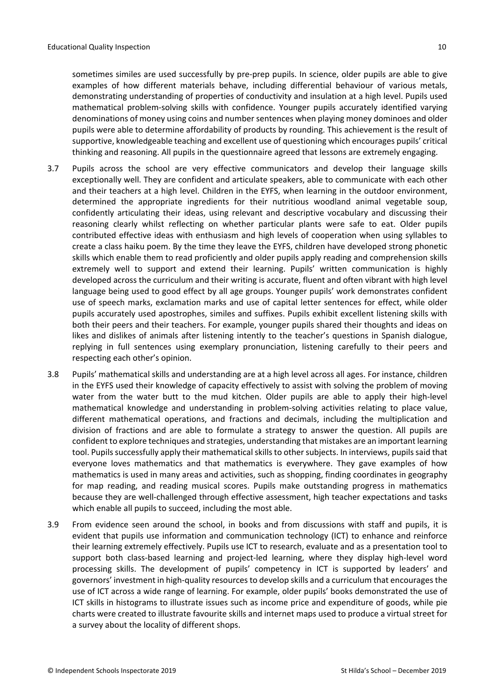sometimes similes are used successfully by pre-prep pupils. In science, older pupils are able to give examples of how different materials behave, including differential behaviour of various metals, demonstrating understanding of properties of conductivity and insulation at a high level. Pupils used mathematical problem-solving skills with confidence. Younger pupils accurately identified varying denominations of money using coins and number sentences when playing money dominoes and older pupils were able to determine affordability of products by rounding. This achievement is the result of supportive, knowledgeable teaching and excellent use of questioning which encourages pupils' critical thinking and reasoning. All pupils in the questionnaire agreed that lessons are extremely engaging.

- 3.7 Pupils across the school are very effective communicators and develop their language skills exceptionally well. They are confident and articulate speakers, able to communicate with each other and their teachers at a high level. Children in the EYFS, when learning in the outdoor environment, determined the appropriate ingredients for their nutritious woodland animal vegetable soup, confidently articulating their ideas, using relevant and descriptive vocabulary and discussing their reasoning clearly whilst reflecting on whether particular plants were safe to eat. Older pupils contributed effective ideas with enthusiasm and high levels of cooperation when using syllables to create a class haiku poem. By the time they leave the EYFS, children have developed strong phonetic skills which enable them to read proficiently and older pupils apply reading and comprehension skills extremely well to support and extend their learning. Pupils' written communication is highly developed across the curriculum and their writing is accurate, fluent and often vibrant with high level language being used to good effect by all age groups. Younger pupils' work demonstrates confident use of speech marks, exclamation marks and use of capital letter sentences for effect, while older pupils accurately used apostrophes, similes and suffixes. Pupils exhibit excellent listening skills with both their peers and their teachers. For example, younger pupils shared their thoughts and ideas on likes and dislikes of animals after listening intently to the teacher's questions in Spanish dialogue, replying in full sentences using exemplary pronunciation, listening carefully to their peers and respecting each other's opinion.
- 3.8 Pupils' mathematical skills and understanding are at a high level across all ages. For instance, children in the EYFS used their knowledge of capacity effectively to assist with solving the problem of moving water from the water butt to the mud kitchen. Older pupils are able to apply their high-level mathematical knowledge and understanding in problem-solving activities relating to place value, different mathematical operations, and fractions and decimals, including the multiplication and division of fractions and are able to formulate a strategy to answer the question. All pupils are confident to explore techniques and strategies, understanding that mistakes are an important learning tool. Pupils successfully apply their mathematical skills to other subjects. In interviews, pupils said that everyone loves mathematics and that mathematics is everywhere. They gave examples of how mathematics is used in many areas and activities, such as shopping, finding coordinates in geography for map reading, and reading musical scores. Pupils make outstanding progress in mathematics because they are well-challenged through effective assessment, high teacher expectations and tasks which enable all pupils to succeed, including the most able.
- 3.9 From evidence seen around the school, in books and from discussions with staff and pupils, it is evident that pupils use information and communication technology (ICT) to enhance and reinforce their learning extremely effectively. Pupils use ICT to research, evaluate and as a presentation tool to support both class-based learning and project-led learning, where they display high-level word processing skills. The development of pupils' competency in ICT is supported by leaders' and governors' investment in high-quality resources to develop skills and a curriculum that encourages the use of ICT across a wide range of learning. For example, older pupils' books demonstrated the use of ICT skills in histograms to illustrate issues such as income price and expenditure of goods, while pie charts were created to illustrate favourite skills and internet maps used to produce a virtual street for a survey about the locality of different shops.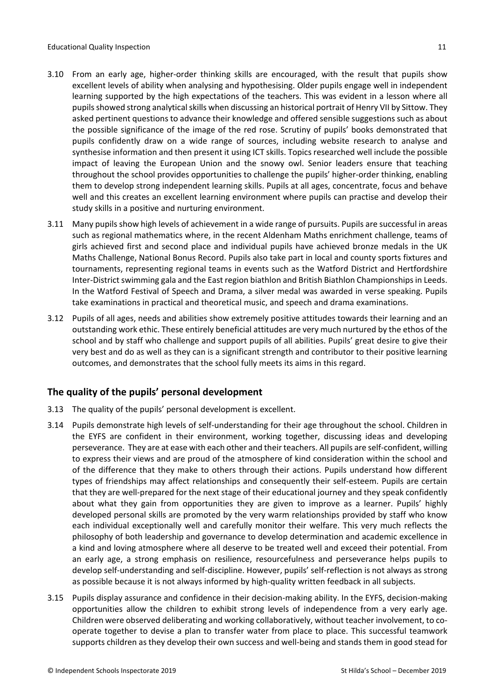- 3.10 From an early age, higher-order thinking skills are encouraged, with the result that pupils show excellent levels of ability when analysing and hypothesising. Older pupils engage well in independent learning supported by the high expectations of the teachers. This was evident in a lesson where all pupils showed strong analytical skills when discussing an historical portrait of Henry VII by Sittow. They asked pertinent questions to advance their knowledge and offered sensible suggestions such as about the possible significance of the image of the red rose. Scrutiny of pupils' books demonstrated that pupils confidently draw on a wide range of sources, including website research to analyse and synthesise information and then present it using ICT skills. Topics researched well include the possible impact of leaving the European Union and the snowy owl. Senior leaders ensure that teaching throughout the school provides opportunities to challenge the pupils' higher-order thinking, enabling them to develop strong independent learning skills. Pupils at all ages, concentrate, focus and behave well and this creates an excellent learning environment where pupils can practise and develop their study skills in a positive and nurturing environment.
- 3.11 Many pupils show high levels of achievement in a wide range of pursuits. Pupils are successful in areas such as regional mathematics where, in the recent Aldenham Maths enrichment challenge, teams of girls achieved first and second place and individual pupils have achieved bronze medals in the UK Maths Challenge, National Bonus Record. Pupils also take part in local and county sports fixtures and tournaments, representing regional teams in events such as the Watford District and Hertfordshire Inter-District swimming gala and the East region biathlon and British Biathlon Championships in Leeds. In the Watford Festival of Speech and Drama, a silver medal was awarded in verse speaking. Pupils take examinations in practical and theoretical music, and speech and drama examinations.
- 3.12 Pupils of all ages, needs and abilities show extremely positive attitudes towards their learning and an outstanding work ethic. These entirely beneficial attitudes are very much nurtured by the ethos of the school and by staff who challenge and support pupils of all abilities. Pupils' great desire to give their very best and do as well as they can is a significant strength and contributor to their positive learning outcomes, and demonstrates that the school fully meets its aims in this regard.

#### <span id="page-10-0"></span>**The quality of the pupils' personal development**

- 3.13 The quality of the pupils' personal development is excellent.
- 3.14 Pupils demonstrate high levels of self-understanding for their age throughout the school. Children in the EYFS are confident in their environment, working together, discussing ideas and developing perseverance. They are at ease with each other and their teachers. All pupils are self-confident, willing to express their views and are proud of the atmosphere of kind consideration within the school and of the difference that they make to others through their actions. Pupils understand how different types of friendships may affect relationships and consequently their self-esteem. Pupils are certain that they are well-prepared for the next stage of their educational journey and they speak confidently about what they gain from opportunities they are given to improve as a learner. Pupils' highly developed personal skills are promoted by the very warm relationships provided by staff who know each individual exceptionally well and carefully monitor their welfare. This very much reflects the philosophy of both leadership and governance to develop determination and academic excellence in a kind and loving atmosphere where all deserve to be treated well and exceed their potential. From an early age, a strong emphasis on resilience, resourcefulness and perseverance helps pupils to develop self-understanding and self-discipline. However, pupils' self-reflection is not always as strong as possible because it is not always informed by high-quality written feedback in all subjects.
- 3.15 Pupils display assurance and confidence in their decision-making ability. In the EYFS, decision-making opportunities allow the children to exhibit strong levels of independence from a very early age. Children were observed deliberating and working collaboratively, without teacher involvement, to cooperate together to devise a plan to transfer water from place to place. This successful teamwork supports children as they develop their own success and well-being and stands them in good stead for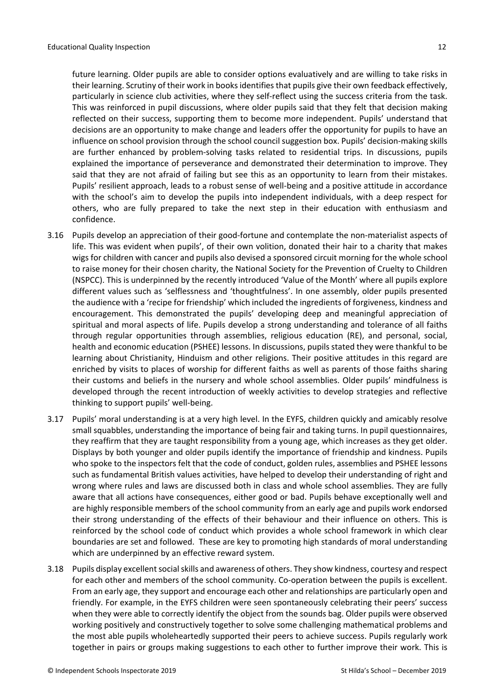future learning. Older pupils are able to consider options evaluatively and are willing to take risks in their learning. Scrutiny of their work in books identifies that pupils give their own feedback effectively, particularly in science club activities, where they self-reflect using the success criteria from the task. This was reinforced in pupil discussions, where older pupils said that they felt that decision making reflected on their success, supporting them to become more independent. Pupils' understand that decisions are an opportunity to make change and leaders offer the opportunity for pupils to have an influence on school provision through the school council suggestion box. Pupils' decision-making skills are further enhanced by problem-solving tasks related to residential trips. In discussions, pupils explained the importance of perseverance and demonstrated their determination to improve. They said that they are not afraid of failing but see this as an opportunity to learn from their mistakes. Pupils' resilient approach, leads to a robust sense of well-being and a positive attitude in accordance with the school's aim to develop the pupils into independent individuals, with a deep respect for others, who are fully prepared to take the next step in their education with enthusiasm and confidence.

- 3.16 Pupils develop an appreciation of their good-fortune and contemplate the non-materialist aspects of life. This was evident when pupils', of their own volition, donated their hair to a charity that makes wigs for children with cancer and pupils also devised a sponsored circuit morning for the whole school to raise money for their chosen charity, the National Society for the Prevention of Cruelty to Children (NSPCC). This is underpinned by the recently introduced 'Value of the Month' where all pupils explore different values such as 'selflessness and 'thoughtfulness'. In one assembly, older pupils presented the audience with a 'recipe for friendship' which included the ingredients of forgiveness, kindness and encouragement. This demonstrated the pupils' developing deep and meaningful appreciation of spiritual and moral aspects of life. Pupils develop a strong understanding and tolerance of all faiths through regular opportunities through assemblies, religious education (RE), and personal, social, health and economic education (PSHEE) lessons. In discussions, pupils stated they were thankful to be learning about Christianity, Hinduism and other religions. Their positive attitudes in this regard are enriched by visits to places of worship for different faiths as well as parents of those faiths sharing their customs and beliefs in the nursery and whole school assemblies. Older pupils' mindfulness is developed through the recent introduction of weekly activities to develop strategies and reflective thinking to support pupils' well-being.
- 3.17 Pupils' moral understanding is at a very high level. In the EYFS, children quickly and amicably resolve small squabbles, understanding the importance of being fair and taking turns. In pupil questionnaires, they reaffirm that they are taught responsibility from a young age, which increases as they get older. Displays by both younger and older pupils identify the importance of friendship and kindness. Pupils who spoke to the inspectors felt that the code of conduct, golden rules, assemblies and PSHEE lessons such as fundamental British values activities, have helped to develop their understanding of right and wrong where rules and laws are discussed both in class and whole school assemblies. They are fully aware that all actions have consequences, either good or bad. Pupils behave exceptionally well and are highly responsible members of the school community from an early age and pupils work endorsed their strong understanding of the effects of their behaviour and their influence on others. This is reinforced by the school code of conduct which provides a whole school framework in which clear boundaries are set and followed. These are key to promoting high standards of moral understanding which are underpinned by an effective reward system.
- 3.18 Pupils display excellent social skills and awareness of others. They show kindness, courtesy and respect for each other and members of the school community. Co-operation between the pupils is excellent. From an early age, they support and encourage each other and relationships are particularly open and friendly. For example, in the EYFS children were seen spontaneously celebrating their peers' success when they were able to correctly identify the object from the sounds bag. Older pupils were observed working positively and constructively together to solve some challenging mathematical problems and the most able pupils wholeheartedly supported their peers to achieve success. Pupils regularly work together in pairs or groups making suggestions to each other to further improve their work. This is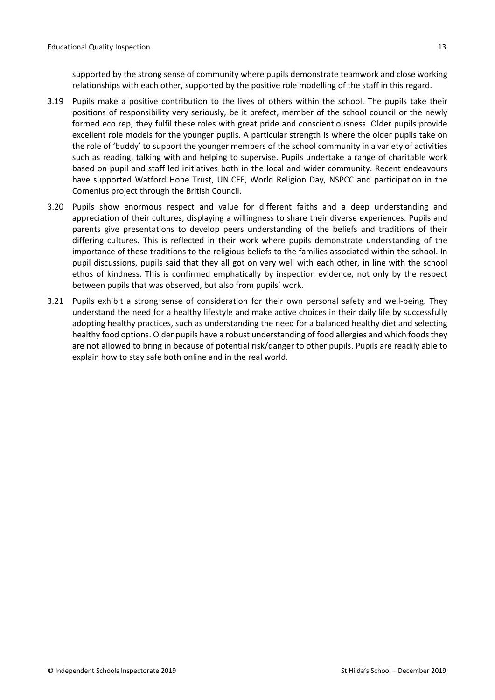supported by the strong sense of community where pupils demonstrate teamwork and close working relationships with each other, supported by the positive role modelling of the staff in this regard.

- 3.19 Pupils make a positive contribution to the lives of others within the school. The pupils take their positions of responsibility very seriously, be it prefect, member of the school council or the newly formed eco rep; they fulfil these roles with great pride and conscientiousness. Older pupils provide excellent role models for the younger pupils. A particular strength is where the older pupils take on the role of 'buddy' to support the younger members of the school community in a variety of activities such as reading, talking with and helping to supervise. Pupils undertake a range of charitable work based on pupil and staff led initiatives both in the local and wider community. Recent endeavours have supported Watford Hope Trust, UNICEF, World Religion Day, NSPCC and participation in the Comenius project through the British Council.
- 3.20 Pupils show enormous respect and value for different faiths and a deep understanding and appreciation of their cultures, displaying a willingness to share their diverse experiences. Pupils and parents give presentations to develop peers understanding of the beliefs and traditions of their differing cultures. This is reflected in their work where pupils demonstrate understanding of the importance of these traditions to the religious beliefs to the families associated within the school. In pupil discussions, pupils said that they all got on very well with each other, in line with the school ethos of kindness. This is confirmed emphatically by inspection evidence, not only by the respect between pupils that was observed, but also from pupils' work.
- 3.21 Pupils exhibit a strong sense of consideration for their own personal safety and well-being. They understand the need for a healthy lifestyle and make active choices in their daily life by successfully adopting healthy practices, such as understanding the need for a balanced healthy diet and selecting healthy food options. Older pupils have a robust understanding of food allergies and which foods they are not allowed to bring in because of potential risk/danger to other pupils. Pupils are readily able to explain how to stay safe both online and in the real world.